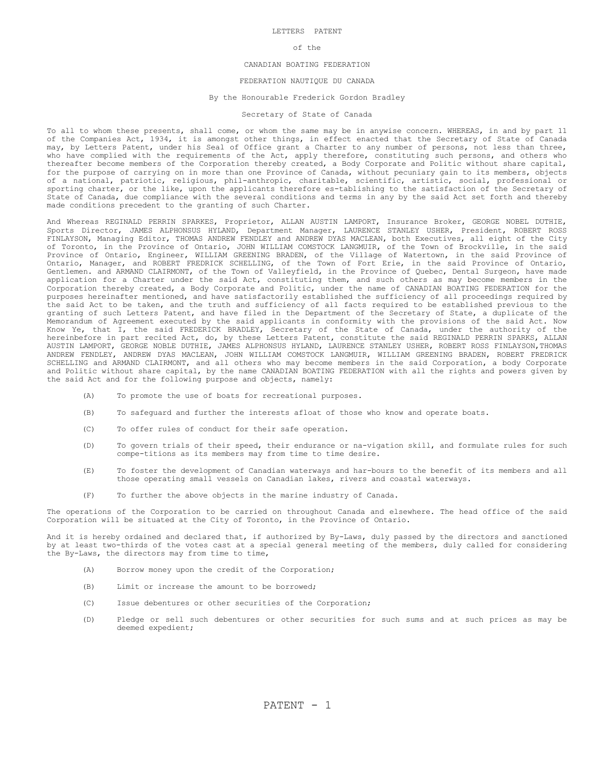## LETTERS PATENT

#### of the

# CANADIAN BOATING FEDERATION

# FEDERATION NAUTIQUE DU CANADA

## By the Honourable Frederick Gordon Bradley

### Secretary of State of Canada

To all to whom these presents, shall come, or whom the same may be in anywise concern. WHEREAS, in and by part 11 of the Companies Act, 1934, it is amongst other things, in effect enacted that the Secretary of State of Canada may, by Letters Patent, under his Seal of Office grant a Charter to any number of persons, not less than three, who have complied with the requirements of the Act, apply therefore, constituting such persons, and others who thereafter become members of the Corporation thereby created, a Body Corporate and Politic without share capital, for the purpose of carrying on in more than one Province of Canada, without pecuniary gain to its members, objects of a national, patriotic, religious, phil-anthropic, charitable, scientific, artistic, social, professional or sporting charter, or the like, upon the applicants therefore es-tablishing to the satisfaction of the Secretary of State of Canada, due compliance with the several conditions and terms in any by the said Act set forth and thereby made conditions precedent to the granting of such Charter.

And Whereas REGINALD PERRIN SPARKES, Proprietor, ALLAN AUSTIN LAMPORT, Insurance Broker, GEORGE NOBEL DUTHIE, Sports Director, JAMES ALPHONSUS HYLAND, Department Manager, LAURENCE STANLEY USHER, President, ROBERT ROSS FINLAYSON, Managing Editor, THOMAS ANDREW FENDLEY and ANDREW DYAS MACLEAN, both Executives, all eight of the City of Toronto, in the Province of Ontario, JOHN WILLIAM COMSTOCK LANGMUIR, of the Town of Brockville, in the said Province of Ontario, Engineer, WILLIAM GREENING BRADEN, of the Village of Watertown, in the said Province of Ontario, Manager, and ROBERT FREDRICK SCHELLING, of the Town of Fort Erie, in the said Province of Ontario, Gentlemen. and ARMAND CLAIRMONT, of the Town of Valleyfield, in the Province of Quebec, Dental Surgeon, have made application for a Charter under the said Act, constituting them, and such others as may become members in the Corporation thereby created, a Body Corporate and Politic, under the name of CANADIAN BOATING FEDERATION for the purposes hereinafter mentioned, and have satisfactorily established the sufficiency of all proceedings required by the said Act to be taken, and the truth and sufficiency of all facts required to be established previous to the granting of such Letters Patent, and have filed in the Department of the Secretary of State, a duplicate of the Memorandum of Agreement executed by the said applicants in conformity with the provisions of the said Act. Now Know Ye, that I, the said FREDERICK BRADLEY, Secretary of the State of Canada, under the authority of the hereinbefore in part recited Act, do, by these Letters Patent, constitute the said REGINALD PERRIN SPARKS, ALLAN AUSTIN LAMPORT, GEORGE NOBLE DUTHIE, JAMES ALPHONSUS HYLAND, LAURENCE STANLEY USHER, ROBERT ROSS FINLAYSON,THOMAS ANDREW FENDLEY, ANDREW DYAS MACLEAN, JOHN WILLIAM COMSTOCK LANGMUIR, WILLIAM GREENING BRADEN, ROBERT FREDRICK SCHELLING and ARMAND CLAIRMONT, and all others who may become members in the said Corporation, a body Corporate and Politic without share capital, by the name CANADIAN BOATING FEDERATION with all the rights and powers given by the said Act and for the following purpose and objects, namely:

- (A) To promote the use of boats for recreational purposes.
- (B) To safeguard and further the interests afloat of those who know and operate boats.
- (C) To offer rules of conduct for their safe operation.
- (D) To govern trials of their speed, their endurance or na-vigation skill, and formulate rules for such compe-titions as its members may from time to time desire.
- (E) To foster the development of Canadian waterways and har-bours to the benefit of its members and all those operating small vessels on Canadian lakes, rivers and coastal waterways.
- (F) To further the above objects in the marine industry of Canada.

The operations of the Corporation to be carried on throughout Canada and elsewhere. The head office of the said Corporation will be situated at the City of Toronto, in the Province of Ontario.

And it is hereby ordained and declared that, if authorized by By-Laws, duly passed by the directors and sanctioned by at least two-thirds of the votes cast at a special general meeting of the members, duly called for considering the By-Laws, the directors may from time to time,

- (A) Borrow money upon the credit of the Corporation;
- (B) Limit or increase the amount to be borrowed;
- (C) Issue debentures or other securities of the Corporation;
- (D) Pledge or sell such debentures or other securities for such sums and at such prices as may be deemed expedient;